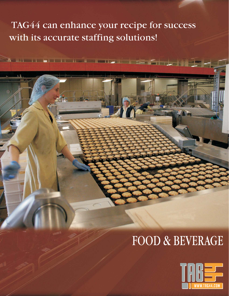## TAG44 can enhance your recipe for success with its accurate staffing solutions!

# FOOD & BEVERAGE

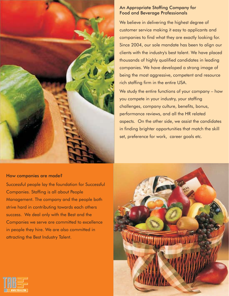

#### An Appropriate Staffing Company for Food and Beverage Professionals

We believe in delivering the highest degree of customer service making it easy to applicants and companies to find what they are exactly looking for. Since 2004, our sole mandate has been to align our clients with the industry's best talent. We have placed thousands of highly qualified candidates in leading companies. We have developed a strong image of being the most aggressive, competent and resource rich staffing firm in the entire USA.

We study the entire functions of your company – how you compete in your industry, your staffing challenges, company culture, benefits, bonus, performance reviews, and all the HR related aspects. On the other side, we assist the candidates in finding brighter opportunities that match the skill set, preference for work, career goals etc.

#### How companies are made?

Successful people lay the foundation for Successful Companies. Staffing is all about People Management. The company and the people both strive hard in contributing towards each others success. We deal only with the Best and the Companies we serve are committed to excellence in people they hire. We are also committed in attracting the Best Industry Talent.



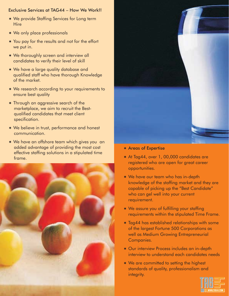#### Exclusive Services at TAG44 – How We Work!!

- \* We provide Staffing Services for Long term **Hire**
- \* We only place professionals
- \* You pay for the results and not for the effort we put in.
- \* We thoroughly screen and interview all candidates to verify their level of skill
- We have a large quality database and qualified staff who have thorough Knowledge of the market.
- \* We research according to your requirements to ensure best quality
- Through an aggressive search of the marketplace, we aim to recruit the Bestqualified candidates that meet client specification.
- \* We believe in trust, performance and honest communication.
- We have an offshore team which gives you an added advantage of providing the most cost effective staffing solutions in a stipulated time frame.





- Areas of Expertise
- -At Tag44, over 1, 00,000 candidates are registered who are open for great career opportunities.
- \* We have our team who has in-depth knowledge of the staffing market and they are capable of picking up the "Best Candidate" who can gel well into your current requirement.
- \* We assure you of fulfilling your staffing requirements within the stipulated Time Frame.
- \* Tag44 has established relationships with some of the largest Fortune 500 Corporations as well as Medium Growing Entrepreneurial Companies.
- Our interview Process includes an in-depth interview to understand each candidates needs
- \* We are committed to setting the highest standards of quality, professionalism and integrity.

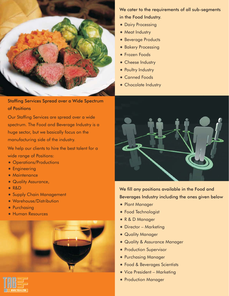

#### Staffing Services Spread over a Wide Spectrum of Positions

Our Staffing Services are spread over a wide spectrum. The Food and Beverage Industry is a huge sector, but we basically focus on the manufacturing side of the industry.

We help our clients to hire the best talent for a wide range of Positions:

- Operations/Productions
- \* Engineering
- \* Maintenance
- \* Quality Assurance,
- -R&D
- Supply Chain Management
- Warehouse/Distribution
- \* Purchasing
- Human Resources





- \* Dairy Processing
- \* Meat Industry
- \* Beverage Products
- \* Bakery Processing
- \* Frozen Foods
- \* Cheese Industry
- \* Poultry Industry
- \* Canned Foods
- \* Chocolate Industry



We fill any positions available in the Food and Beverages Industry including the ones given below

- Plant Manager
- \* Food Technologist
- R & D Manager
- \* Director Marketing
- \* Quality Manager
- \* Quality & Assurance Manager
- \* Production Supervisor
- Purchasing Manager
- Food & Beverages Scientists
- \* Vice President Marketing
- Production Manager

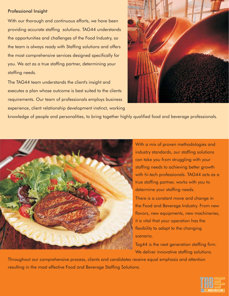#### Professional Insight

With our thorough and continuous efforts, we have been providing accurate staffing solutions. TAG44 understands the opportunities and challenges of the Food Industry, so the team is always ready with Staffing solutions and offers the most comprehensive services designed specifically for you. We act as a true staffing partner, determining your staffing needs.

The TAG44 team understands the client's insight and executes a plan whose outcome is best suited to the clients requirements. Our team of professionals employs business experience, client relationship development instinct, working



knowledge of people and personalities, to bring together highly qualified food and beverage professionals.



With a mix of proven methodologies and industry standards, our staffing solutions can take you from struggling with your staffing needs to achieving better growth with hi-tech professionals. TAG44 acts as a true staffing partner, works with you to determine your staffing needs. There is a constant move and change in

the Food and Beverage Industry. From new flavors, new equipments, new machineries, it is vital that your operation has the flexibility to adapt to the changing scenario.

Tag44 is the next generation staffing firm. We deliver innovative staffing solutions.

Throughout our comprehensive process, clients and candidates receive equal emphasis and attention resulting in the most effective Food and Beverage Staffing Solutions.